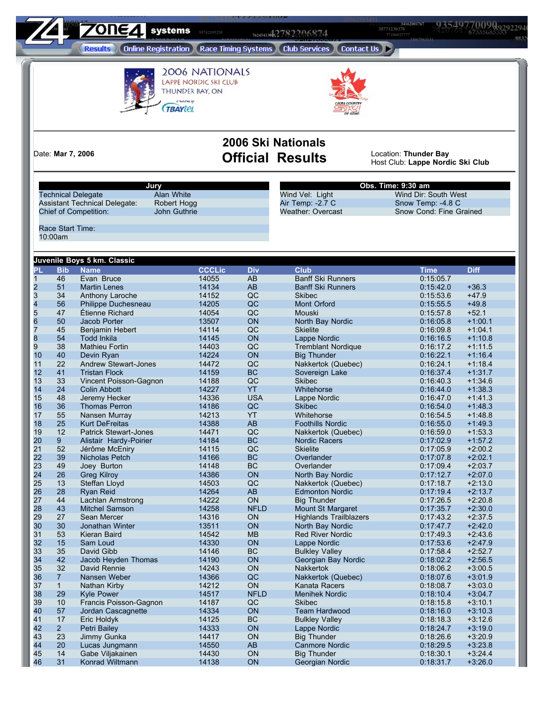**8ystems** 95742195250<br> **103110386441278220068774** 

**59452397304**

 **89292294025 <sup>74207617793</sup> <sup>96516509845</sup> <sup>63278499789</sup> <sup>61262175955</sup> <sup>19770493108</sup>** 

> **Results (Online Registration) (Race Timing Systems) (Club Services) (Contact Us) >**

**80997901682**



2006 NATIONALS LAPPE NORDIC SKI CLUB THUNDER BAY, ON Presenten ay **TBAYLEL** 



**38771230378**

**2006 Ski Nationals** Date: **Mar 7, 2006 Official Results** Location: **Thunder Bay**

Host Club: **Lappe Nordic Ski Club**

**Technical Delegate** Assistant Technical Delegate: Robert Hogg<br>Chief of Competition: John Guthrie Chief of Competition:

**Jury**

Wind Vel: Light Wind Dir: South West<br>Air Temp: -2.7 C Snow Temp: -4.8 C<br>Weather: Overcast Snow Cond: Fine Gra Air Temp: -2.7 C Snow Temp: -4.8 C

**Obs. Time: 9:30 am** Weather: Overcast Snow Cond: Fine Grained

Race Start Time: 10:00am

**439 61** 

|                |                | Juvenile Boys 5 km. Classic  |               |                 |                               |             |             |
|----------------|----------------|------------------------------|---------------|-----------------|-------------------------------|-------------|-------------|
| Pl             | <b>Bib</b>     | <b>Name</b>                  | <b>CCCLic</b> | <b>Div</b>      | <b>Club</b>                   | <b>Time</b> | <b>Diff</b> |
| $\overline{1}$ | 46             | Evan Bruce                   | 14055         | $\overline{AB}$ | <b>Banff Ski Runners</b>      | 0:15:05.7   |             |
|                | 51             | <b>Martin Lenes</b>          | 14134         | AB              | <b>Banff Ski Runners</b>      | 0:15:42.0   | $+36.3$     |
| 234567         | 34             | Anthony Laroche              | 14152         | QC              | <b>Skibec</b>                 | 0:15:53.6   | $+47.9$     |
|                | 56             | Philippe Duchesneau          | 14205         | QC              | Mont Orford                   | 0:15:55.5   | $+49.8$     |
|                | 47             | Étienne Richard              | 14054         | QC              | Mouski                        | 0:15:57.8   | $+52.1$     |
|                | 50             | Jacob Porter                 | 13507         | ON              | North Bay Nordic              | 0:16:05.8   | $+1:00.1$   |
|                | 45             | Benjamin Hebert              | 14114         | QC              | <b>Skielite</b>               | 0:16:09.8   | $+1:04.1$   |
| 8              | 54             | <b>Todd Inkila</b>           | 14145         | ON              | Lappe Nordic                  | 0:16:16.5   | $+1:10.8$   |
| $\overline{9}$ | 38             | <b>Mathieu Fortin</b>        | 14403         | QC              | <b>Tremblant Nordique</b>     | 0:16:17.2   | $+1:11.5$   |
| 10             | 40             | Devin Ryan                   | 14224         | ON              | <b>Big Thunder</b>            | 0:16:22.1   | $+1:16.4$   |
| 11             | 22             | Andrew Stewart-Jones         | 14472         | QC              | Nakkertok (Quebec)            | 0:16:24.1   | $+1:18.4$   |
| 12             | 41             | <b>Tristan Flock</b>         | 14159         | <b>BC</b>       | Sovereign Lake                | 0:16:37.4   | $+1:31.7$   |
| 13             | 33             | Vincent Poisson-Gagnon       | 14188         | QC              | <b>Skibec</b>                 | 0:16:40.3   | $+1.34.6$   |
| 14             | 24             | <b>Colin Abbott</b>          | 14227         | YT              | Whitehorse                    | 0:16:44.0   | $+1:38.3$   |
| 15             | 48             | Jeremy Hecker                | 14336         | <b>USA</b>      | Lappe Nordic                  | 0:16:47.0   | $+1.41.3$   |
| 16             | 36             | <b>Thomas Perron</b>         | 14186         | QC              | <b>Skibec</b>                 | 0:16:54.0   | $+1:48.3$   |
| 17             | 55             | Nansen Murray                | 14213         | YT              | Whitehorse                    | 0:16:54.5   | $+1.48.8$   |
| 18             | 25             | <b>Kurt DeFreitas</b>        | 14388         | AB              | <b>Foothills Nordic</b>       | 0:16:55.0   | $+1.49.3$   |
| 19             | 12             | <b>Patrick Stewart-Jones</b> | 14471         | QC              | Nakkertok (Quebec)            | 0:16:59.0   | $+1:53.3$   |
| 20             | 9              | Alistair Hardy-Poirier       | 14184         | <b>BC</b>       | <b>Nordic Racers</b>          | 0:17:02.9   | $+1:57.2$   |
| 21             | 52             | Jérôme McEniry               | 14115         | QC              | <b>Skielite</b>               | 0:17:05.9   | $+2:00.2$   |
| 22             | 39             | Nicholas Petch               | 14166         | <b>BC</b>       | Overlander                    | 0:17:07.8   | $+2:02.1$   |
| 23             | 49             | Joey Burton                  | 14148         | <b>BC</b>       | Overlander                    | 0:17:09.4   | $+2:03.7$   |
| 24             | 26             | <b>Greg Kilroy</b>           | 14386         | ON              | North Bay Nordic              | 0:17:12.7   | $+2:07.0$   |
| 25             | 13             | Steffan Lloyd                | 14503         | QC              | Nakkertok (Quebec)            | 0:17:18.7   | $+2:13.0$   |
| 26             | 28             | Ryan Reid                    | 14264         | AB              | <b>Edmonton Nordic</b>        | 0:17:19.4   | $+2:13.7$   |
| 27             | 44             | Lachlan Armstrong            | 14222         | ON              | <b>Big Thunder</b>            | 0:17:26.5   | $+2:20.8$   |
| 28             | 43             | <b>Mitchel Samson</b>        | 14258         | <b>NFLD</b>     | Mount St Margaret             | 0:17:35.7   | $+2:30.0$   |
| 29             | 27             | Sean Mercer                  | 14316         | ON              | <b>Highlands Trailblazers</b> | 0:17:43.2   | $+2.37.5$   |
| 30             | 30             | Jonathan Winter              | 13511         | ON              | North Bay Nordic              | 0:17.47.7   | $+2:42.0$   |
| 31             | 53             | Kieran Baird                 | 14542         | <b>MB</b>       | Red River Nordic              | 0:17:49.3   | $+2.43.6$   |
| 32             | 15             | Sam Loud                     | 14330         | ON              | Lappe Nordic                  | 0:17:53.6   | $+2.47.9$   |
| 33             | 35             | David Gibb                   | 14146         | <b>BC</b>       | <b>Bulkley Valley</b>         | 0:17:58.4   | $+2.52.7$   |
| 34             | 42             | Jacob Heyden Thomas          | 14190         | ON              | Georgian Bay Nordic           | 0:18:02.2   | $+2:56.5$   |
| 35             | 32             | David Rennie                 | 14243         | ON              | <b>Nakkertok</b>              | 0:18:06.2   | $+3:00.5$   |
| 36             | $\overline{7}$ | Nansen Weber                 | 14366         | QC              | Nakkertok (Quebec)            | 0:18:07.6   | $+3:01.9$   |
| 37             | $\mathbf{1}$   | Nathan Kirby                 | 14212         | ON              | Kanata Racers                 | 0:18:08.7   | $+3:03.0$   |
| 38             | 29             | <b>Kyle Power</b>            | 14517         | <b>NFLD</b>     | <b>Menihek Nordic</b>         | 0:18:10.4   | $+3:04.7$   |
| 39             | 10             | Francis Poisson-Gagnon       | 14187         | QC              | <b>Skibec</b>                 | 0:18:15.8   | $+3:10.1$   |
| 40             | 57             | Jordan Cascagnette           | 14334         | <b>ON</b>       | <b>Team Hardwood</b>          | 0:18:16.0   | $+3:10.3$   |
| 41             | 17             | Eric Holdyk                  | 14125         | <b>BC</b>       | <b>Bulkley Valley</b>         | 0:18:18.3   | $+3.12.6$   |
| 42             | $\overline{2}$ | Petri Bailey                 | 14333         | ON              | Lappe Nordic                  | 0:18:24.7   | $+3:19.0$   |
| 43             | 23             | Jimmy Gunka                  | 14417         | <b>ON</b>       | <b>Big Thunder</b>            | 0:18:26.6   | $+3:20.9$   |
| 44             | 20             | Lucas Jungmann               | 14550         | AB              | <b>Canmore Nordic</b>         | 0:18:29.5   | $+3:23.8$   |
| 45             | 14             | Gabe Viljakainen             | 14430         | ON              | <b>Big Thunder</b>            | 0:18:30.1   | $+3.24.4$   |
| 46             | 31             | Konrad Wiltmann              | 14138         | ON              | Georgian Nordic               | 0:18:31.7   | $+3:26.0$   |
|                |                |                              |               |                 |                               |             |             |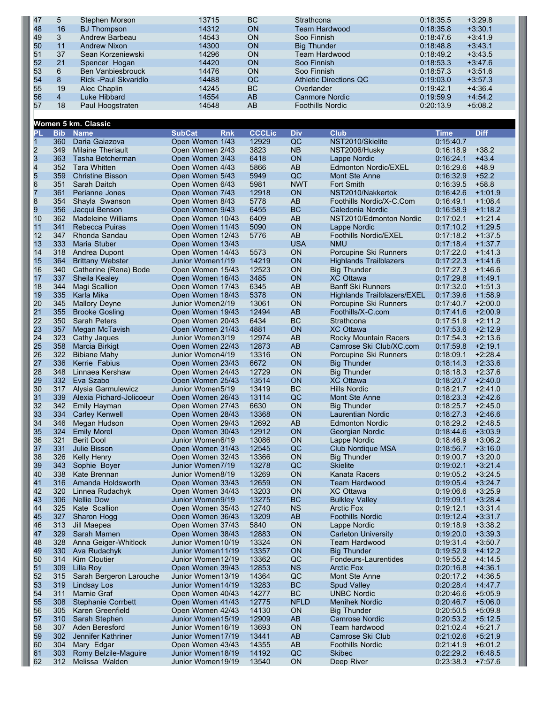| 47 | 5  | Stephen Morson           | 13715 | <b>BC</b> | Strathcona              | 0:18:35.5 | $+3:29.8$ |
|----|----|--------------------------|-------|-----------|-------------------------|-----------|-----------|
| 48 | 16 | <b>BJ</b> Thompson       | 14312 | <b>ON</b> | Team Hardwood           | 0:18:35.8 | $+3:30.1$ |
| 49 | 3  | Andrew Barbeau           | 14543 | <b>ON</b> | Soo Finnish             | 0:18:47.6 | $+3.41.9$ |
| 50 | 11 | Andrew Nixon             | 14300 | <b>ON</b> | <b>Big Thunder</b>      | 0:18:48.8 | $+3:43.1$ |
| 51 | 37 | Sean Korzeniewski        | 14296 | <b>ON</b> | Team Hardwood           | 0:18:49.2 | $+3:43.5$ |
| 52 | 21 | Spencer Hogan            | 14420 | ON        | Soo Finnish             | 0:18:53.3 | $+3:47.6$ |
| 53 | 6  | <b>Ben Vanbiesbrouck</b> | 14476 | <b>ON</b> | Soo Finnish             | 0:18:57.3 | $+3:51.6$ |
| 54 | 8  | Rick - Paul Skvaridlo    | 14488 | QC        | Athletic Directions QC  | 0:19:03.0 | $+3:57.3$ |
| 55 | 19 | Alec Chaplin             | 14245 | <b>BC</b> | Overlander              | 0:19:42.1 | $+4:36.4$ |
| 56 | 4  | Luke Hibbard             | 14554 | AB        | Canmore Nordic          | 0:19:59.9 | $+4.54.2$ |
| 57 | 18 | Paul Hoogstraten         | 14548 | AB        | <b>Foothills Nordic</b> | 0:20:13.9 | $+5:08.2$ |
|    |    |                          |       |           |                         |           |           |

|              |            | Women 5 km. Classic       |                             |               |             |                                    |             |             |
|--------------|------------|---------------------------|-----------------------------|---------------|-------------|------------------------------------|-------------|-------------|
| PL           | <b>Bib</b> | <b>Name</b>               | <b>SubCat</b><br><b>Rnk</b> | <b>CCCLic</b> | <b>Div</b>  | <b>Club</b>                        | <b>Time</b> | <b>Diff</b> |
| $\mathbf{1}$ | 360        | Daria Gaiazova            | Open Women 1/43             | 12929         | QC          | NST2010/Skielite                   | 0:15:40.7   |             |
| 2            | 349        | <b>Milaine Theriault</b>  | Open Women 2/43             | 3823          | NB          | NST2006/Husky                      | 0:16:18.9   | $+38.2$     |
| 3            | 363        | Tasha Betcherman          | Open Women 3/43             | 6418          | ON          | Lappe Nordic                       | 0:16:24.1   | $+43.4$     |
| 4            | 352        | <b>Tara Whitten</b>       | Open Women 4/43             | 5866          | AB          | <b>Edmonton Nordic/EXEL</b>        | 0:16:29.6   | $+48.9$     |
| 5            | 359        | <b>Christine Bisson</b>   | Open Women 5/43             | 5949          | QC          | Mont Ste Anne                      | 0:16:32.9   | $+52.2$     |
| 6            | 351        | Sarah Daitch              | Open Women 6/43             | 5981          | <b>NWT</b>  | <b>Fort Smith</b>                  | 0:16:39.5   | $+58.8$     |
| 7            | 361        | Perianne Jones            | Open Women 7/43             | 12918         | ON          | NST2010/Nakkertok                  | 0:16:42.6   | $+1:01.9$   |
| 8            | 354        | Shayla Swanson            | Open Women 8/43             | 5778          | AB          | Foothills Nordic/X-C.Com           | 0:16:49.1   | $+1:08.4$   |
| 9            | 356        | Jacqui Benson             | Open Women 9/43             | 6455          | <b>BC</b>   | Caledonia Nordic                   | 0:16:58.9   | $+1:18.2$   |
| 10           | 362        | Madeleine Williams        | Open Women 10/43            | 6409          | AB          | NST2010/Edmonton Nordic            | 0:17:02.1   | $+1:21.4$   |
| 11           | 341        | <b>Rebecca Puiras</b>     | Open Women 11/43            | 5090          | ON          | Lappe Nordic                       | 0:17:10.2   | $+1:29.5$   |
| 12           | 347        | Rhonda Sandau             | Open Women 12/43            | 5776          | AB          | Foothills Nordic/EXEL              | 0:17:18.2   | $+1.37.5$   |
| 13           | 333        | Maria Stuber              | Open Women 13/43            |               | <b>USA</b>  | <b>NMU</b>                         | 0:17:18.4   | $+1:37.7$   |
| 14           | 318        | Andrea Dupont             | Open Women 14/43            | 5573          | <b>ON</b>   | Porcupine Ski Runners              | 0:17:22.0   | $+1:41.3$   |
| 15           | 364        | <b>Brittany Webster</b>   | Junior Women 1/19           | 14219         | <b>ON</b>   | <b>Highlands Trailblazers</b>      | 0:17:22.3   | $+1.41.6$   |
| 16           | 340        | Catherine (Rena) Bode     | Open Women 15/43            | 12523         | <b>ON</b>   | Big Thunder                        | 0:17:27.3   | $+1.46.6$   |
| 17           | 337        | Sheila Kealey             | Open Women 16/43            | 3485          | ON          | <b>XC Ottawa</b>                   | 0:17:29.8   | $+1.49.1$   |
| 18           | 344        | Magi Scallion             | Open Women 17/43            | 6345          | AB          | <b>Banff Ski Runners</b>           | 0:17:32.0   | $+1:51.3$   |
| 19           | 335        | Karla Mika                | Open Women 18/43            | 5378          | ON          | <b>Highlands Trailblazers/EXEL</b> | 0:17:39.6   | $+1:58.9$   |
| 20           | 345        | <b>Mallory Deyne</b>      | Junior Women2/19            | 13061         | ON          | Porcupine Ski Runners              | 0:17:40.7   | $+2:00.0$   |
| 21           | 355        | <b>Brooke Gosling</b>     | Open Women 19/43            | 12494         | AB          | Foothills/X-C.com                  | 0:17:41.6   | $+2:00.9$   |
| 22           | 350        | <b>Sarah Peters</b>       | Open Women 20/43            | 6434          | <b>BC</b>   | Strathcona                         | 0:17:51.9   | $+2:11.2$   |
| 23           | 357        | Megan McTavish            | Open Women 21/43            | 4881          | ON          | <b>XC Ottawa</b>                   | 0:17:53.6   | $+2:12.9$   |
| 24           | 323        | Cathy Jaques              | Junior Women3/19            | 12974         | AB          | Rocky Mountain Racers              | 0:17:54.3   | $+2:13.6$   |
| 25           | 358        | <b>Marcia Birkigt</b>     | Open Women 22/43            | 12873         | AB          | Camrose Ski Club/XC.com            | 0:17:59.8   | $+2:19.1$   |
| 26           | 322        | <b>Bibiane Mahy</b>       | Junior Women4/19            | 13316         | ON          | Porcupine Ski Runners              | 0.18:09.1   | $+2:28.4$   |
| 27           | 336        | Kerrie Fabius             | Open Women 23/43            | 6672          | ON          | <b>Big Thunder</b>                 | 0:18:14.3   | $+2:33.6$   |
| 28           | 348        | Linnaea Kershaw           | Open Women 24/43            | 12729         | ON          | Big Thunder                        | 0:18:18.3   | $+2.37.6$   |
| 29           | 332        | Eva Szabo                 | Open Women 25/43            | 13514         | ON          | XC Ottawa                          | 0:18:20.7   | $+2:40.0$   |
| 30           | 317        | Alysia Garmulewicz        | Junior Women5/19            | 13419         | <b>BC</b>   | <b>Hills Nordic</b>                | 0:18:21.7   | $+2:41.0$   |
| 31           | 339        | Alexia Pichard-Jolicoeur  | Open Women 26/43            | 13114         | QC          | Mont Ste Anne                      | 0:18:23.3   | $+2:42.6$   |
| 32           | 342        | Emily Hayman              | Open Women 27/43            | 6630          | ON          | <b>Big Thunder</b>                 | 0:18:25.7   | $+2:45.0$   |
| 33           | 334        | <b>Carley Kenwell</b>     | Open Women 28/43            | 13368         | ON          | Laurentian Nordic                  | 0:18:27.3   | $+2:46.6$   |
| 34           | 346        | Megan Hudson              | Open Women 29/43            | 12692         | AB          | <b>Edmonton Nordic</b>             | 0:18:29.2   | $+2:48.5$   |
| 35           | 324        | <b>Emily Morel</b>        | Open Women 30/43            | 12912         | ON          | Georgian Nordic                    | 0:18:44.6   | $+3:03.9$   |
| 36           | 321        | <b>Berit Dool</b>         | Junior Women6/19            | 13086         | <b>ON</b>   | Lappe Nordic                       | 0:18:46.9   | $+3:06.2$   |
| 37           | 331        | <b>Julie Bisson</b>       | Open Women 31/43            | 12545         | QC          | <b>Club Nordique MSA</b>           | 0:18:56.7   | $+3:16.0$   |
| 38           | 326        | Kelly Henry               | Open Women 32/43            | 13366         | ON          | <b>Big Thunder</b>                 | 0:19:00.7   | $+3:20.0$   |
| 39           | 343        | Sophie Boyer              | Junior Women7/19            | 13278         | QC          | <b>Skielite</b>                    | 0:19:02.1   | $+3:21.4$   |
| 40           | 338        | Kate Brennan              | Junior Women8/19            | 13269         | ON          | Kanata Racers                      | 0:19:05.2   | $+3:24.5$   |
| 41           | 316        | Amanda Holdsworth         | Open Women 33/43            | 12659         | <b>ON</b>   | <b>Team Hardwood</b>               | 0:19:05.4   | $+3:24.7$   |
| 42           | 320        | Linnea Rudachyk           | Open Women 34/43            | 13203         | <b>ON</b>   | <b>XC Ottawa</b>                   | 0:19:06.6   | $+3:25.9$   |
| 43           | 306        | <b>Nellie Dow</b>         | Junior Women9/19            | 13275         | <b>BC</b>   | <b>Bulkley Valley</b>              | 0:19:09.1   | $+3:28.4$   |
| 44           | 325        | Kate Scallion             | Open Women 35/43            | 12740         | <b>NS</b>   | <b>Arctic Fox</b>                  | 0:19:12.1   | $+3:31.4$   |
| 45           |            | 327 Sharon Hogg           | Open Women 36/43            | 13209         | AB          | <b>Foothills Nordic</b>            | 0:19:12.4   | $+3:31.7$   |
| 46           | 313        | Jill Maepea               | Open Women 37/43            | 5840          | <b>ON</b>   | Lappe Nordic                       | 0:19:18.9   | $+3:38.2$   |
| 47           | 329        | Sarah Mamen               | Open Women 38/43            | 12883         | ON          | <b>Carleton University</b>         | 0:19:20.0   | $+3:39.3$   |
| 48           | 328        | Anna Geiger-Whitlock      | Junior Women 10/19          | 13324         | <b>ON</b>   | <b>Team Hardwood</b>               | 0:19:31.4   | $+3:50.7$   |
| 49           | 330        | Ava Rudachyk              | Junior Women11/19           | 13357         | ON          | <b>Big Thunder</b>                 | 0:19:52.9   | $+4.12.2$   |
| 50           | 314        | Kim Cloutier              | Junior Women 12/19          | 13362         | QC          | Fondeurs-Laurentides               | 0:19:55.2   | $+4:14.5$   |
| 51           | 309        | Lilla Roy                 | Open Women 39/43            | 12853         | <b>NS</b>   | <b>Arctic Fox</b>                  | 0:20:16.8   | $+4:36.1$   |
| 52           | 315        | Sarah Bergeron Larouche   | Junior Women 13/19          | 14364         | QC          | Mont Ste Anne                      | 0:20:17.2   | $+4:36.5$   |
| 53           | 319        | <b>Lindsay Los</b>        | Junior Women 14/19          | 13283         | <b>BC</b>   | <b>Spud Valley</b>                 | 0:20:28.4   | $+4.47.7$   |
| 54           | 311        | Marnie Graf               | Open Women 40/43            | 14277         | BC          | <b>UNBC Nordic</b>                 | 0:20:46.6   | $+5:05.9$   |
| 55           | 308        | <b>Stephanie Corrbett</b> | Open Women 41/43            | 12775         | <b>NFLD</b> | <b>Menihek Nordic</b>              | 0:20:46.7   | $+5:06.0$   |
| 56           | 305        | Karen Greenfield          | Open Women 42/43            | 14130         | <b>ON</b>   | <b>Big Thunder</b>                 | 0:20:50.5   | $+5:09.8$   |
| 57           | 310        | Sarah Stephen             | Junior Women 15/19          | 12909         | AB          | <b>Camrose Nordic</b>              | 0:20:53.2   | $+5:12.5$   |
| 58           | 307        | Aden Beresford            | Junior Women 16/19          | 13693         | <b>ON</b>   | Team hardwood                      | 0:21:02.4   | $+5:21.7$   |
| 59           | 302        | Jennifer Kathriner        | Junior Women17/19           | 13441         | AB          | Camrose Ski Club                   | 0:21:02.6   | $+5:21.9$   |
| 60           | 304        | Mary Edgar                | Open Women 43/43            | 14355         | AB          | <b>Foothills Nordic</b>            | 0:21:41.9   | $+6:01.2$   |

 303 Romy Belzile-Maguire Junior Women18/19 14192 QC Skibec 0:22:29.2 +6:48.5 312 Melissa Walden Junior Women19/19 13540 ON Deep River 0:23:38.3 +7:57.6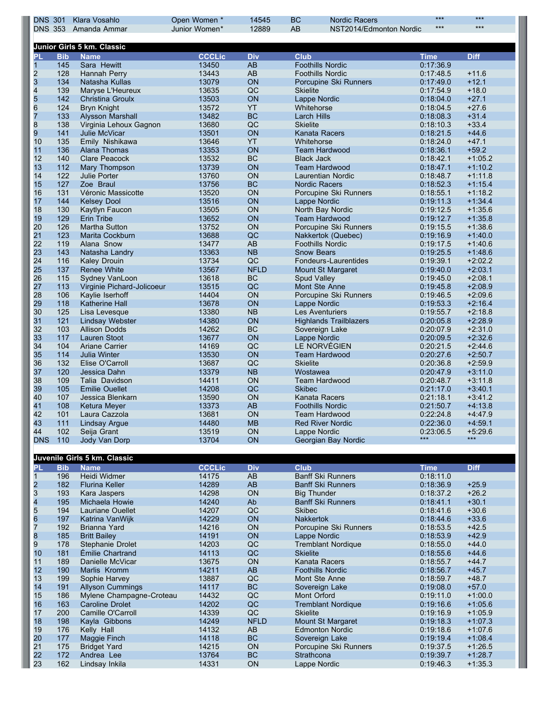| <b>DNS 301</b>          |            | Klara Vosahlo                         | Open Women *   | 14545             | <b>BC</b>         | <b>Nordic Racers</b>                         | $***$<br>$***$         | $***$<br>$***$         |
|-------------------------|------------|---------------------------------------|----------------|-------------------|-------------------|----------------------------------------------|------------------------|------------------------|
|                         |            | DNS 353 Amanda Ammar                  | Junior Women*  | 12889             | AB                | NST2014/Edmonton Nordic                      |                        |                        |
|                         |            | Junior Girls 5 km. Classic            |                |                   |                   |                                              |                        |                        |
| <b>PL</b>               | <b>Bib</b> | <b>Name</b>                           | <b>CCCLic</b>  | <b>Div</b>        | <b>Club</b>       |                                              | <b>Time</b>            | <b>Diff</b>            |
| $\mathbf{1}$            | 145        | Sara Hewitt                           | 13450          | AB                |                   | <b>Foothills Nordic</b>                      | 0:17:36.9              |                        |
| $\overline{\mathbf{c}}$ | 128        | Hannah Perry                          | 13443          | AB                |                   | <b>Foothills Nordic</b>                      | 0:17:48.5              | $+11.6$                |
| 3                       | 134<br>139 | Natasha Kullas<br>Maryse L'Heureux    | 13079<br>13635 | ON<br>QC          | <b>Skielite</b>   | Porcupine Ski Runners                        | 0:17:49.0<br>0:17:54.9 | $+12.1$<br>$+18.0$     |
| $\frac{4}{5}$           | 142        | <b>Christina Groulx</b>               | 13503          | ON                |                   | Lappe Nordic                                 | 0:18:04.0              | $+27.1$                |
| $\,$ 6 $\,$             | 124        | <b>Bryn Knight</b>                    | 13572          | <b>YT</b>         | Whitehorse        |                                              | 0:18:04.5              | $+27.6$                |
| $\overline{7}$          | 133        | <b>Alysson Marshall</b>               | 13482          | <b>BC</b>         | Larch Hills       |                                              | 0:18:08.3              | $+31.4$                |
| 8                       | 138        | Virginia Lehoux Gagnon                | 13680          | QC                | <b>Skielite</b>   |                                              | 0:18:10.3              | $+33.4$                |
| 9                       | 141        | Julie McVicar                         | 13501          | ON                |                   | Kanata Racers                                | 0:18:21.5              | $+44.6$                |
| 10                      | 135        | Emily Nishikawa                       | 13646          | <b>YT</b>         |                   | Whitehorse                                   | 0:18:24.0              | $+47.1$                |
| 11                      | 136        | Alana Thomas<br><b>Clare Peacock</b>  | 13353          | ON<br>BC          |                   | <b>Team Hardwood</b>                         | 0:18:36.1              | $+59.2$                |
| 12<br>13                | 140<br>112 | Mary Thompson                         | 13532<br>13739 | ON                | <b>Black Jack</b> | <b>Team Hardwood</b>                         | 0:18:42.1<br>0:18:47.1 | $+1:05.2$<br>$+1:10.2$ |
| 14                      | 122        | Julie Porter                          | 13760          | ON                |                   | Laurentian Nordic                            | 0:18:48.7              | $+1:11.8$              |
| 15                      | 127        | Zoe Braul                             | 13756          | <b>BC</b>         |                   | <b>Nordic Racers</b>                         | 0:18:52.3              | $+1.15.4$              |
| 16                      | 131        | Véronic Massicotte                    | 13520          | ON                |                   | Porcupine Ski Runners                        | 0:18:55.1              | $+1:18.2$              |
| 17                      | 144        | <b>Kelsey Dool</b>                    | 13516          | ON                |                   | Lappe Nordic                                 | 0:19:11.3              | $+1.34.4$              |
| 18                      | 130        | Kaytlyn Faucon                        | 13505          | ON                |                   | North Bay Nordic                             | 0:19:12.5              | $+1:35.6$              |
| 19                      | 129        | <b>Erin Tribe</b>                     | 13652          | ON                |                   | <b>Team Hardwood</b>                         | 0:19:12.7              | $+1:35.8$              |
| 20                      | 126        | Martha Sutton                         | 13752          | ON                |                   | Porcupine Ski Runners                        | 0:19:15.5              | $+1:38.6$              |
| 21                      | 123        | Marita Cockburn                       | 13688          | QC                |                   | Nakkertok (Quebec)                           | 0:19:16.9              | $+1.40.0$              |
| 22<br>23                | 119<br>143 | Alana Snow                            | 13477<br>13363 | AB<br><b>NB</b>   |                   | <b>Foothills Nordic</b><br><b>Snow Bears</b> | 0:19:17.5<br>0:19:25.5 | $+1.40.6$<br>$+1.48.6$ |
| 24                      | 116        | Natasha Landry<br><b>Kaley Drouin</b> | 13734          | QC                |                   | Fondeurs-Laurentides                         | 0:19:39.1              | $+2:02.2$              |
| 25                      | 137        | <b>Renee White</b>                    | 13567          | <b>NFLD</b>       |                   | <b>Mount St Margaret</b>                     | 0:19:40.0              | $+2:03.1$              |
| 26                      | 115        | Sydney VanLoon                        | 13618          | <b>BC</b>         |                   | <b>Spud Valley</b>                           | 0:19:45.0              | $+2:08.1$              |
| 27                      | 113        | Virginie Pichard-Jolicoeur            | 13515          | QC                |                   | Mont Ste Anne                                | 0:19:45.8              | $+2:08.9$              |
| 28                      | 106        | Kaylie Iserhoff                       | 14404          | ON                |                   | Porcupine Ski Runners                        | 0:19:46.5              | $+2:09.6$              |
| 29                      | 118        | <b>Katherine Hall</b>                 | 13678          | ON                |                   | Lappe Nordic                                 | 0:19:53.3              | $+2:16.4$              |
| 30                      | 125        | Lisa Levesque                         | 13380          | <b>NB</b>         |                   | Les Aventuriers                              | 0:19:55.7              | $+2:18.8$              |
| 31                      | 121        | <b>Lindsay Webster</b>                | 14380          | ON                |                   | <b>Highlands Trailblazers</b>                | 0:20:05.8              | $+2:28.9$              |
| 32                      | 103        | <b>Allison Dodds</b>                  | 14262          | BC                |                   | Sovereign Lake                               | 0:20:07.9              | $+2:31.0$              |
| 33<br>34                | 117<br>104 | <b>Lauren Stoot</b><br>Ariane Carrier | 13677          | ON                |                   | Lappe Nordic<br>LE NORVÉGIEN                 | 0:20:09.5              | $+2:32.6$<br>$+2.44.6$ |
| 35                      | 114        | <b>Julia Winter</b>                   | 14169<br>13530 | QC<br>ON          |                   | <b>Team Hardwood</b>                         | 0:20:21.5<br>0:20:27.6 | $+2:50.7$              |
| 36                      | 132        | Elise O'Carroll                       | 13687          | QC                | <b>Skielite</b>   |                                              | 0:20:36.8              | $+2:59.9$              |
| 37                      | 120        | Jessica Dahn                          | 13379          | <b>NB</b>         | Wostawea          |                                              | 0:20:47.9              | $+3:11.0$              |
| 38                      | 109        | Talia Davidson                        | 14411          | ON                |                   | <b>Team Hardwood</b>                         | 0:20:48.7              | $+3:11.8$              |
| 39                      | 105        | <b>Emilie Ouellet</b>                 | 14208          | QC                | <b>Skibec</b>     |                                              | 0:21:17.0              | $+3:40.1$              |
| 40                      | 107        | Jessica Blenkarn                      | 13590          | ON                |                   | Kanata Racers                                | 0:21:18.1              | $+3.41.2$              |
| 41                      | 108        | Ketura Meyer                          | 13373          | AB                |                   | <b>Foothills Nordic</b>                      | 0:21:50.7              | $+4:13.8$              |
| 42                      | 101        | Laura Cazzola                         | 13681          | <b>ON</b>         |                   | I eam Hardwood                               | 0.22.24.8              | +4:47.9                |
| 43                      | 111        | <b>Lindsay Argue</b>                  | 14480          | <b>MB</b>         |                   | <b>Red River Nordic</b>                      | 0:22:36.0              | $+4.59.1$              |
| 44<br><b>DNS</b>        | 102<br>110 | Seija Grant<br>Jody Van Dorp          | 13519<br>13704 | ON<br>ON          |                   | Lappe Nordic<br>Georgian Bay Nordic          | 0:23:06.5<br>$***$     | $+5:29.6$<br>***       |
|                         |            |                                       |                |                   |                   |                                              |                        |                        |
|                         |            | Juvenile Girls 5 km. Classic          |                |                   |                   |                                              |                        |                        |
| <b>PL</b>               | <b>Bib</b> | <b>Name</b>                           | <b>CCCLic</b>  | <b>Div</b>        | <b>Club</b>       |                                              | <b>Time</b>            | <b>Diff</b>            |
| $\mathbf{1}$            | 196        | Heidi Widmer                          | 14175          | AB                |                   | <b>Banff Ski Runners</b>                     | 0:18:11.0              |                        |
| $\frac{2}{3}$           | 182        | <b>Flurina Keller</b>                 | 14289          | AB                |                   | <b>Banff Ski Runners</b>                     | 0:18:36.9              | $+25.9$                |
|                         | 193        | Kara Jaspers                          | 14298          | ON                |                   | <b>Big Thunder</b>                           | 0:18:37.2              | $+26.2$                |
| 4                       | 195        | Michaela Howie                        | 14240          | Ab                |                   | <b>Banff Ski Runners</b>                     | 0:18:41.1              | $+30.1$                |
| 5<br>6                  | 194        | Lauriane Ouellet                      | 14207          | QC                | <b>Skibec</b>     |                                              | 0:18:41.6              | $+30.6$                |
| $\overline{7}$          | 197<br>192 | Katrina VanWijk<br>Brianna Yard       | 14229<br>14216 | ON<br>ON          | <b>Nakkertok</b>  | Porcupine Ski Runners                        | 0:18:44.6<br>0:18:53.5 | $+33.6$<br>$+42.5$     |
| 8                       | 185        | <b>Britt Bailey</b>                   | 14191          | ON                |                   | Lappe Nordic                                 | 0:18:53.9              | $+42.9$                |
| 9                       | 178        | Stephanie Drolet                      | 14203          | QC                |                   | <b>Tremblant Nordique</b>                    | 0:18:55.0              | $+44.0$                |
| 10                      | 181        | Émilie Chartrand                      | 14113          | QC                | <b>Skielite</b>   |                                              | 0:18:55.6              | $+44.6$                |
| 11                      | 189        | Danielle McVicar                      | 13675          | ON                |                   | Kanata Racers                                | 0:18:55.7              | $+44.7$                |
| 12                      | 190        | Marlis Kromm                          | 14211          | AB                |                   | <b>Foothills Nordic</b>                      | 0:18:56.7              | $+45.7$                |
| 13                      | 199        | Sophie Harvey                         | 13887          | QC                |                   | Mont Ste Anne                                | 0:18:59.7              | $+48.7$                |
| 14                      | 191        | <b>Allyson Cummings</b>               | 14117          | <b>BC</b>         |                   | Sovereign Lake                               | 0:19:08.0              | $+57.0$                |
| 15                      | 186        | Mylene Champagne-Croteau              | 14432          | QC                |                   | Mont Orford                                  | 0:19:11.0              | $+1:00.0$              |
| 16                      | 163        | <b>Caroline Drolet</b>                | 14202          | QC                |                   | <b>Tremblant Nordique</b>                    | 0:19:16.6              | $+1:05.6$              |
| 17<br>18                | 200<br>198 | Camille O'Carroll<br>Kayla Gibbons    | 14339<br>14249 | QC<br><b>NFLD</b> | <b>Skielite</b>   | Mount St Margaret                            | 0:19:16.9<br>0:19:18.3 | $+1:05.9$<br>$+1:07.3$ |
| 19                      | 176        | Kelly Hall                            | 14132          | AB                |                   | <b>Edmonton Nordic</b>                       | 0:19:18.6              | $+1:07.6$              |
| 20                      | 177        | Maggie Finch                          | 14118          | <b>BC</b>         |                   | Sovereign Lake                               | 0:19:19.4              | $+1:08.4$              |
| 21                      | 175        | <b>Bridget Yard</b>                   | 14215          | ON                |                   | Porcupine Ski Runners                        | 0:19:37.5              | $+1:26.5$              |
| 22                      | 172        | Andrea Lee                            | 13764          | <b>BC</b>         | Strathcona        |                                              | 0:19:39.7              | $+1:28.7$              |
| 23                      | 162        | Lindsay Inkila                        | 14331          | ON                |                   | Lappe Nordic                                 | 0:19:46.3              | $+1:35.3$              |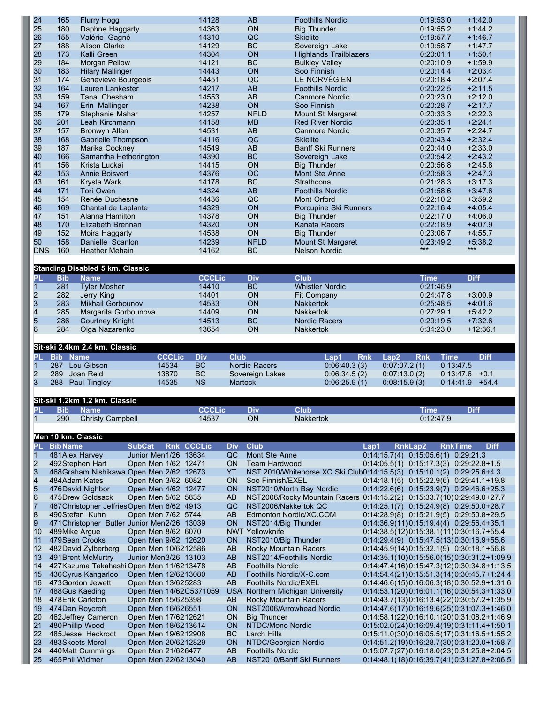| 24                      | 165                | <b>Flurry Hogg</b>                          |                                           | 14128                  |                | <b>AB</b>                | <b>Foothills Nordic</b>                                                |                    | 0:19:53.0                                 | $+1.42.0$                                                                                    |
|-------------------------|--------------------|---------------------------------------------|-------------------------------------------|------------------------|----------------|--------------------------|------------------------------------------------------------------------|--------------------|-------------------------------------------|----------------------------------------------------------------------------------------------|
| 25                      | 180                | Daphne Haggarty                             |                                           | 14363                  |                | ON                       | <b>Big Thunder</b>                                                     |                    | 0:19:55.2                                 | $+1:44.2$                                                                                    |
| 26                      | 155                | Valérie Gagné                               |                                           | 14310                  |                | QC                       | <b>Skielite</b>                                                        |                    | 0:19:57.7                                 | $+1.46.7$                                                                                    |
|                         |                    |                                             |                                           |                        |                |                          |                                                                        |                    |                                           |                                                                                              |
| 27                      | 188                | <b>Alison Clarke</b>                        |                                           | 14129                  |                | BC                       | Sovereign Lake                                                         |                    | 0:19:58.7                                 | $+1.47.7$                                                                                    |
| 28                      | 173                | Kalli Green                                 |                                           | 14304                  |                | ON                       | <b>Highlands Trailblazers</b>                                          |                    | 0:20:01.1                                 | $+1:50.1$                                                                                    |
| 29                      | 184                | Morgan Pellow                               |                                           | 14121                  |                | <b>BC</b>                | <b>Bulkley Valley</b>                                                  |                    | 0:20:10.9                                 | $+1:59.9$                                                                                    |
| 30                      | 183                | <b>Hilary Mallinger</b>                     |                                           | 14443                  |                | ON                       | Soo Finnish                                                            |                    | 0:20:14.4                                 | $+2:03.4$                                                                                    |
|                         |                    |                                             |                                           | 14451                  |                |                          |                                                                        |                    | 0:20:18.4                                 |                                                                                              |
| 31                      | 174                | Genevieve Bourgeois                         |                                           |                        |                | QC                       | LE NORVÉGIEN                                                           |                    |                                           | $+2:07.4$                                                                                    |
| 32                      | 164                | Lauren Lankester                            |                                           | 14217                  |                | AB                       | <b>Foothills Nordic</b>                                                |                    | 0:20:22.5                                 | $+2:11.5$                                                                                    |
| 33                      | 159                | Tana Chesham                                |                                           | 14553                  |                | $\mathsf{A}\mathsf{B}$   | <b>Canmore Nordic</b>                                                  |                    | 0:20:23.0                                 | $+2:12.0$                                                                                    |
| 34                      | 167                | Erin Mallinger                              |                                           | 14238                  |                | ON                       | Soo Finnish                                                            |                    | 0:20:28.7                                 | $+2.17.7$                                                                                    |
| 35                      | 179                | Stephanie Mahar                             |                                           | 14257                  |                | <b>NFLD</b>              | Mount St Margaret                                                      |                    | 0:20:33.3                                 | $+2:22.3$                                                                                    |
|                         |                    |                                             |                                           |                        |                |                          |                                                                        |                    |                                           |                                                                                              |
| 36                      | 201                | Leah Kirchmann                              |                                           | 14158                  |                | <b>MB</b>                | <b>Red River Nordic</b>                                                |                    | 0:20:35.1                                 | $+2:24.1$                                                                                    |
| 37                      | 157                | Bronwyn Allan                               |                                           | 14531                  |                | AB                       | <b>Canmore Nordic</b>                                                  |                    | 0:20:35.7                                 | $+2:24.7$                                                                                    |
| 38                      | 168                | Gabrielle Thompson                          |                                           | 14116                  |                | QC                       | <b>Skielite</b>                                                        |                    | 0:20:43.4                                 | $+2:32.4$                                                                                    |
| 39                      | 187                | Marika Cockney                              |                                           | 14549                  |                | AB                       | <b>Banff Ski Runners</b>                                               |                    | 0:20:44.0                                 | $+2:33.0$                                                                                    |
|                         |                    |                                             |                                           |                        |                |                          |                                                                        |                    |                                           |                                                                                              |
| 40                      | 166                | Samantha Hetherington                       |                                           | 14390                  |                | <b>BC</b>                | Sovereign Lake                                                         |                    | 0:20:54.2                                 | $+2:43.2$                                                                                    |
| 41                      | 156                | Krista Luckai                               |                                           | 14415                  |                | ON                       | <b>Big Thunder</b>                                                     |                    | 0:20:56.8                                 | $+2.45.8$                                                                                    |
| 42                      | 153                | <b>Annie Boisvert</b>                       |                                           | 14376                  |                | QC                       | Mont Ste Anne                                                          |                    | 0:20:58.3                                 | $+2.47.3$                                                                                    |
| 43                      | 161                | Krysta Wark                                 |                                           | 14178                  |                | BC                       | Strathcona                                                             |                    | 0:21:28.3                                 | $+3:17.3$                                                                                    |
|                         |                    |                                             |                                           |                        |                |                          |                                                                        |                    |                                           |                                                                                              |
| 44                      | 171                | <b>Tori Owen</b>                            |                                           | 14324                  |                | AB                       | <b>Foothills Nordic</b>                                                |                    | 0:21:58.6                                 | $+3:47.6$                                                                                    |
| 45                      | 154                | Renée Duchesne                              |                                           | 14436                  |                | QC                       | Mont Orford                                                            |                    | 0:22:10.2                                 | $+3:59.2$                                                                                    |
| 46                      | 169                | Chantal de Laplante                         |                                           | 14329                  |                | ON                       | Porcupine Ski Runners                                                  |                    | 0:22:16.4                                 | $+4.05.4$                                                                                    |
|                         |                    |                                             |                                           |                        |                |                          |                                                                        |                    |                                           |                                                                                              |
| 47                      | 151                | Alanna Hamilton                             |                                           | 14378                  |                | ON                       | <b>Big Thunder</b>                                                     |                    | 0:22:17.0                                 | $+4:06.0$                                                                                    |
| 48                      | 170                | Elizabeth Brennan                           |                                           | 14320                  |                | ON                       | Kanata Racers                                                          |                    | 0:22:18.9                                 | $+4.07.9$                                                                                    |
| 49                      | 152                | Moira Haggarty                              |                                           | 14538                  |                | ON                       | <b>Big Thunder</b>                                                     |                    | 0:23:06.7                                 | $+4.55.7$                                                                                    |
| 50                      | 158                | Danielle Scanlon                            |                                           | 14239                  |                | <b>NFLD</b>              | Mount St Margaret                                                      |                    | 0:23:49.2                                 | $+5:38.2$                                                                                    |
|                         |                    |                                             |                                           |                        |                |                          |                                                                        |                    | $***$                                     | $***$                                                                                        |
| <b>DNS</b>              | 160                | <b>Heather Mehain</b>                       |                                           | 14162                  |                | <b>BC</b>                | <b>Nelson Nordic</b>                                                   |                    |                                           |                                                                                              |
|                         |                    |                                             |                                           |                        |                |                          |                                                                        |                    |                                           |                                                                                              |
|                         |                    | <b>Standing Disabled 5 km. Classic</b>      |                                           |                        |                |                          |                                                                        |                    |                                           |                                                                                              |
|                         | <b>Bib</b>         | <b>Name</b>                                 |                                           | <b>CCCLic</b>          |                | <b>Div</b>               | <b>Club</b>                                                            |                    | Time                                      | <b>Diff</b>                                                                                  |
| PL                      |                    |                                             |                                           |                        |                |                          |                                                                        |                    |                                           |                                                                                              |
| $\mathbf{1}$            | 281                | <b>Tyler Mosher</b>                         |                                           | 14410                  |                | BC                       | <b>Whistler Nordic</b>                                                 |                    | 0:21:46.9                                 |                                                                                              |
|                         | 282                | Jerry King                                  |                                           | 14401                  |                | ON                       | Fit Company                                                            |                    | 0:24:47.8                                 | $+3:00.9$                                                                                    |
| $\frac{2}{3}$           | 283                | Mikhail Gorbounov                           |                                           | 14533                  |                | ON                       | <b>Nakkertok</b>                                                       |                    | 0:25:48.5                                 | $+4.01.6$                                                                                    |
|                         |                    |                                             |                                           |                        |                |                          |                                                                        |                    |                                           |                                                                                              |
|                         | 285                | Margarita Gorbounova                        |                                           | 14409                  |                | ON                       | <b>Nakkertok</b>                                                       |                    | 0:27:29.1                                 | $+5:42.2$                                                                                    |
| $\frac{4}{5}$           | 286                | <b>Courtney Knight</b>                      |                                           | 14513                  |                | <b>BC</b>                | <b>Nordic Racers</b>                                                   |                    | 0:29:19.5                                 | $+7:32.6$                                                                                    |
| 6                       | 284                | Olga Nazarenko                              |                                           | 13654                  |                | ON                       | <b>Nakkertok</b>                                                       |                    | 0:34:23.0                                 | $+12:36.1$                                                                                   |
|                         |                    |                                             |                                           |                        |                |                          |                                                                        |                    |                                           |                                                                                              |
|                         |                    |                                             |                                           |                        |                |                          |                                                                        |                    |                                           |                                                                                              |
|                         |                    |                                             |                                           |                        |                |                          |                                                                        |                    |                                           |                                                                                              |
|                         |                    | Sit-ski 2.4km 2.4 km. Classic               |                                           |                        |                |                          |                                                                        |                    |                                           |                                                                                              |
| PL                      | <b>Bib</b>         | <b>Name</b>                                 | <b>CCCLic</b>                             | <b>Div</b>             | <b>Club</b>    |                          | Lap1                                                                   | <b>Rnk</b><br>Lap2 | <b>Rnk</b>                                | <b>Time</b><br><b>Diff</b>                                                                   |
|                         |                    |                                             |                                           |                        |                |                          |                                                                        |                    |                                           |                                                                                              |
| $\mathbf{1}$            | 287                | Lou Gibson                                  | 14534                                     | <b>BC</b>              |                | <b>Nordic Racers</b>     | 0:06:40.3(3)                                                           |                    | 0.07:07.2(1)                              | 0:13:47.5                                                                                    |
| $\overline{\mathbf{c}}$ | 289                | Joan Reid                                   | 13870                                     | <b>BC</b>              |                | Sovereign Lakes          | 0:06:34.5(2)                                                           |                    | 0:07:13.0(2)                              | 0:13:47.6<br>$+0.1$                                                                          |
| 3                       |                    | 288 Paul Tingley                            | 14535                                     | <b>NS</b>              | <b>Martock</b> |                          | 0:06:25.9(1)                                                           |                    | 0.08:15.9(3)                              | 0:14:41.9<br>$+54.4$                                                                         |
|                         |                    |                                             |                                           |                        |                |                          |                                                                        |                    |                                           |                                                                                              |
|                         |                    |                                             |                                           |                        |                |                          |                                                                        |                    |                                           |                                                                                              |
|                         |                    | Sit-ski 1.2km 1.2 km. Classic               |                                           |                        |                |                          |                                                                        |                    |                                           |                                                                                              |
| PL                      | <b>Bib</b>         | <b>Name</b>                                 |                                           | <b>CCCLic</b>          |                | <b>Div</b>               | <b>Club</b>                                                            |                    | <b>Time</b>                               | <b>Diff</b>                                                                                  |
| $\mathbf{1}$            | 290                | <b>Christy Campbell</b>                     |                                           | 14537                  |                | ON                       | Nakkertok                                                              |                    | 0:12:47.9                                 |                                                                                              |
|                         |                    |                                             |                                           |                        |                |                          |                                                                        |                    |                                           |                                                                                              |
|                         |                    |                                             |                                           |                        |                |                          |                                                                        |                    |                                           |                                                                                              |
|                         | Men 10 km. Classic |                                             |                                           |                        |                |                          |                                                                        |                    |                                           |                                                                                              |
| PL                      | <b>BibName</b>     |                                             | <b>SubCat</b>                             | Rnk CCCLic             | <b>Div</b>     | <b>Club</b>              |                                                                        | Lap1               | <b>RnkLap2</b>                            | <b>RnkTime</b><br><b>Diff</b>                                                                |
| 1                       | 481 Alex Harvey    |                                             | Junior Men 1/26 13634                     |                        | QC             | Mont Ste Anne            |                                                                        |                    | $0:14:15.7(4)$ $0:15:05.6(1)$ $0:29:21.3$ |                                                                                              |
|                         |                    | 492Stephen Hart                             | Open Men 1/62 12471                       |                        | ON             | <b>Team Hardwood</b>     |                                                                        |                    |                                           | $0:14:05.5(1)$ $0:15:17.3(3)$ $0:29:22.8+1.5$                                                |
| $\overline{a}$          |                    |                                             |                                           |                        |                |                          |                                                                        |                    |                                           |                                                                                              |
| 3                       |                    | 468 Graham Nishikawa Open Men 2/62 12673    |                                           |                        | YT             |                          | NST 2010/Whitehorse XC Ski Club0:14:15.5(3) 0:15:10.1(2) 0:29:25.6+4.3 |                    |                                           |                                                                                              |
| 4                       | 484 Adam Kates     |                                             | Open Men 3/62 6082                        |                        | ON             | Soo Finnish/EXEL         |                                                                        |                    |                                           | $0:14:18.1(5)$ $0:15:22.9(6)$ $0:29:41.1+19.8$                                               |
| 5                       |                    | 476David Nighbor                            | Open Men 4/62 12477                       |                        | ON             |                          | NST2010/North Bay Nordic                                               |                    |                                           | $0:14:22.6(6)$ $0:15:23.9(7)$ $0:29:46.6+25.3$                                               |
| 6                       |                    | 475Drew Goldsack                            | Open Men 5/62 5835                        |                        | AB             |                          | NST2006/Rocky Mountain Racers 0:14:15.2(2) 0:15:33.7(10)0:29:49.0+27.7 |                    |                                           |                                                                                              |
|                         |                    |                                             |                                           |                        |                |                          |                                                                        |                    |                                           |                                                                                              |
| 7                       |                    | 467 Christopher Jeffries Open Men 6/62 4913 |                                           |                        | QC             | NST2006/Nakkertok QC     |                                                                        |                    |                                           | 0:14:25.1(7) 0:15:24.9(8) 0:29:50.0+28.7                                                     |
| 8                       |                    | 490Stefan Kuhn                              | Open Men 7/62 5744                        |                        | AB             |                          | Edmonton Nordic/XC.COM                                                 |                    |                                           | $0:14:28.9(8)$ $0:15:21.9(5)$ $0:29.50.8+29.5$                                               |
| 9                       |                    | 471 Christopher Butler Junior Men2/26 13039 |                                           |                        | <b>ON</b>      | NST2014/Big Thunder      |                                                                        |                    |                                           | $0:14:36.9(11)0:15:19.4(4)$ $0:29:56.4+35.1$                                                 |
| 10                      | 489Mike Argue      |                                             | Open Men 8/62 6070                        |                        |                | <b>NWT Yellowknife</b>   |                                                                        |                    |                                           | $0:14:38.5(12)0:15:38.1(11)0:30:16.7+55.4$                                                   |
|                         |                    |                                             |                                           |                        |                |                          |                                                                        |                    |                                           |                                                                                              |
| 11                      |                    | 479 Sean Crooks                             | Open Men 9/62 12620                       |                        | <b>ON</b>      | NST2010/Big Thunder      |                                                                        |                    |                                           | $0:14:29.4(9)$ $0:15:47.5(13)$ $0:30:16.9+55.6$                                              |
| 12                      |                    | 482David Zylberberg                         | Open Men 10/6212586                       |                        | AB             | Rocky Mountain Racers    |                                                                        |                    |                                           | $0:14:45.9(14)0:15:32.1(9)$ $0:30:18.1+56.8$                                                 |
| 13                      |                    | 491 Brent McMurtry                          | Junior Men3/26 13103                      |                        | AB             |                          | NST2014/Foothills Nordic                                               |                    |                                           | $0:14:35.1(10)0:15.56.0(15)0:30:31.2+1:09.9$                                                 |
| 14                      |                    | 427 Kazuma Takahashi Open Men 11/6213478    |                                           |                        | AB             | <b>Foothills Nordic</b>  |                                                                        |                    |                                           | $0:14:47.4(16)0:15:47.3(12)0:30.34.8+1:13.5$                                                 |
|                         |                    |                                             |                                           |                        |                |                          |                                                                        |                    |                                           |                                                                                              |
| 15                      |                    | 436 Cyrus Kangarloo                         | Open Men 12/6213080                       |                        | <b>AB</b>      | Foothills Nordic/X-C.com |                                                                        |                    |                                           | $0:14:54.4(21)0:15.51.3(14)0:30.45.7+1.24.4$                                                 |
| 16                      |                    | 473 Gordon Jewett                           | Open Men 13/625283                        |                        | AB             | Foothills Nordic/EXEL    |                                                                        |                    |                                           | $0:14:46.6(15)0:16:06.3(18)0:30.52.9+1.31.6$                                                 |
| 17                      |                    | 488Gus Kaeding                              |                                           | Open Men 14/62C5371059 |                |                          | USA Northern Michigan University                                       |                    |                                           | $0:14:53.1(20)0:16:01.1(16)0:30:54.3+1:33.0$                                                 |
| 18                      |                    |                                             |                                           |                        |                |                          |                                                                        |                    |                                           |                                                                                              |
|                         |                    | 478 Erik Carleton                           | Open Men 15/625398                        |                        | AB             | Rocky Mountain Racers    |                                                                        |                    |                                           | $0:14:43.7(13)0:16:13.4(22)0:30.57.2+1.35.9$                                                 |
| 19                      |                    | 474Dan Roycroft                             | Open Men 16/626551                        |                        | <b>ON</b>      |                          | NST2006/Arrowhead Nordic                                               |                    |                                           | $0:14:47.6(17)0:16:19.6(25)0:31:07.3+1:46.0$                                                 |
| 20                      |                    | 462 Jeffrey Cameron                         | Open Men 17/6212621                       |                        | <b>ON</b>      | <b>Big Thunder</b>       |                                                                        |                    |                                           | $0:14:58.1(22)0:16:10.1(20)0:31:08.2+1:46.9$                                                 |
| 21                      | 480 Phillip Wood   |                                             | Open Men 18/6213614                       |                        | ON             | NTDC/Mono Nordic         |                                                                        |                    |                                           | $0:15:02.0(24)0:16:09.4(19)0:31:11.4+1:50.1$                                                 |
|                         |                    |                                             |                                           |                        |                |                          |                                                                        |                    |                                           |                                                                                              |
| 22                      |                    | 485Jesse Heckrodt                           | Open Men 19/6212908                       |                        | ВC             | Larch Hills              |                                                                        |                    |                                           | $0:15:11.0(30)0:16:05.5(17)0:31:16.5+1.55.2$                                                 |
| 23                      |                    | 483 Skeets Morel                            | Open Men 20/6212829                       |                        | ON             | NTDC/Georgian Nordic     |                                                                        |                    |                                           | $0:14:51.2(19)0:16:28.7(30)0:31:20.0+1.58.7$                                                 |
| 24<br>25                | 465Phil Widmer     | 440Matt Cummings                            | Open Men 21/626477<br>Open Men 22/6213040 |                        | AB<br>AB       | <b>Foothills Nordic</b>  | NST2010/Banff Ski Runners                                              |                    |                                           | $0:15:07.7(27)0:16:18.0(23)0:31:25.8+2:04.5$<br>$0:14:48.1(18)0:16:39.7(41)0:31:27.8+2:06.5$ |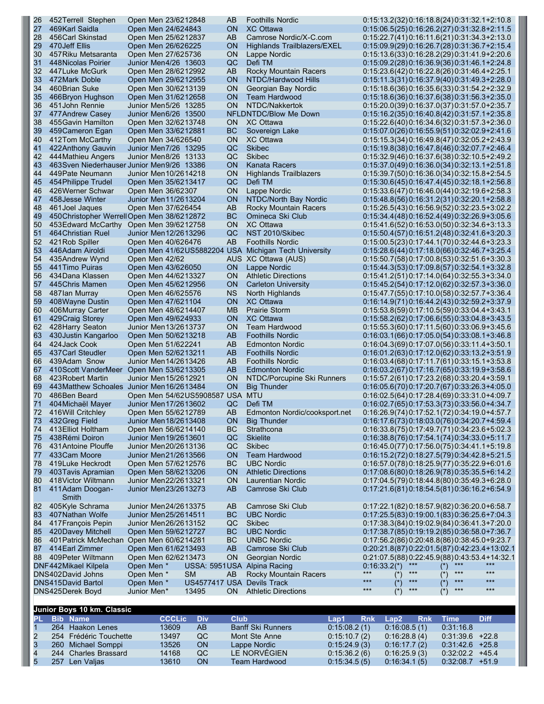| 26        | 452 Terrell Stephen                                                | Open Men 23/6212848                          |                                 | AB              | <b>Foothills Nordic</b>                                     |              |                       | 0:15:13.2(32)0:16:18.8(24)0:31:32.1+2:10.8                                                   |                            |           |             |
|-----------|--------------------------------------------------------------------|----------------------------------------------|---------------------------------|-----------------|-------------------------------------------------------------|--------------|-----------------------|----------------------------------------------------------------------------------------------|----------------------------|-----------|-------------|
| 27        | 469Karl Saidla                                                     | Open Men 24/624843                           |                                 | ON              | <b>XC Ottawa</b>                                            |              |                       | 0:15:06.5(25) 0:16:26.2(27) 0:31:32.8+2:11.5                                                 |                            |           |             |
| 28        | 456 Carl Skinstad                                                  | Open Men 25/6212837                          |                                 | AB              | Camrose Nordic/X-C.com                                      |              |                       | 0:15:22.7(41) 0:16:11.6(21) 0:31:34.3+2:13.0                                                 |                            |           |             |
| 29<br>30  | 470 Jeff Ellis<br>457 Riku Metsaranta                              | Open Men 26/626225<br>Open Men 27/625736     |                                 | ON<br>ΟN        | Highlands Trailblazers/EXEL<br>Lappe Nordic                 |              |                       | $0:15:13.6(33)0:16:28.2(29)0:31:41.9+2:20.6$                                                 |                            |           |             |
| 31        | 448 Nicolas Poirier                                                | Junior Men4/26 13603                         |                                 | QC              | Defi TM                                                     |              |                       | 0:15:09.2(28) 0:16:36.9(36) 0:31:46.1+2:24.8                                                 |                            |           |             |
| 32        | 447 Luke McGurk                                                    | Open Men 28/6212992                          |                                 | AB              | Rocky Mountain Racers                                       |              |                       | $0:15:23.6(42)0:16:22.8(26)0:31.46.4+2.25.1$                                                 |                            |           |             |
| 33        | 472 Mark Doble                                                     | Open Men 29/6212955                          |                                 | <b>ON</b>       | NTDC/Hardwood Hills                                         |              |                       | $0:15:11.3(31)0:16:37.9(40)0:31:49.3+2:28.0$                                                 |                            |           |             |
| 34        | 460Brian Suke                                                      | Open Men 30/6213139                          |                                 | <b>ON</b>       | Georgian Bay Nordic                                         |              |                       | $0:15:18.6(36)0:16:35.6(33)0:31:54.2+2:32.9$                                                 |                            |           |             |
| 35        | 466 Bryon Hughson                                                  | Open Men 31/6212658                          |                                 | ON              | Team Hardwood                                               |              |                       | 0:15:18.6(36) 0:16:37.6(38) 0:31:56.3+2:35.0                                                 |                            |           |             |
| 36        | 451 John Rennie                                                    | Junior Men5/26 13285                         |                                 | <b>ON</b>       | NTDC/Nakkertok                                              |              |                       | 0:15:20.0(39) 0:16:37.0(37) 0:31:57.0+2:35.7                                                 |                            |           |             |
| 37        | 477 Andrew Casey                                                   | Junior Men6/26 13500                         |                                 |                 | NFLDNTDC/Blow Me Down                                       |              |                       | 0:15:16.2(35) 0:16:40.8(42) 0:31:57.1+2:35.8                                                 |                            |           |             |
| 38        | 455 Gavin Hamilton                                                 | Open Men 32/6213748                          |                                 | <b>ON</b>       | <b>XC Ottawa</b>                                            |              |                       | $0:15:22.6(40)0:16:34.6(32)0:31:57.3+2:36.0$                                                 |                            |           |             |
| 39        | 459 Cameron Egan<br>412Tom McCarthy                                | Open Men 33/6212881                          |                                 | ВC<br>ΟN        | Sovereign Lake                                              |              |                       | $0:15:07.0(26)0:16:55.9(51)0:32:02.9+2:41.6$                                                 |                            |           |             |
| 40<br>41  | 422 Anthony Gauvin                                                 | Open Men 34/626540<br>Junior Men7/26 13295   |                                 | QC              | <b>XC Ottawa</b><br><b>Skibec</b>                           |              |                       | 0:15:15.3(34) 0:16:49.8(47) 0:32:05.2+2:43.9<br>$0:15:19.8(38)0:16:47.8(46)0:32:07.7+2.46.4$ |                            |           |             |
| 42        | 444 Mathieu Angers                                                 | Junior Men8/26 13133                         |                                 | QC              | <b>Skibec</b>                                               |              |                       | $0:15:32.9(46)0:16:37.6(38)0:32:10.5+2:49.2$                                                 |                            |           |             |
| 43        | 463 Sven Niederhauser Junior Men 9/26 13386                        |                                              |                                 | <b>ON</b>       | Kanata Racers                                               |              |                       | $0:15:37.0(49)0:16:36.0(34)0:32:13.1+2.51.8$                                                 |                            |           |             |
| 44        | 449 Pate Neumann                                                   | Junior Men 10/26 14218                       |                                 | <b>ON</b>       | Highlands Trailblazers                                      |              |                       | $0:15:39.7(50)0:16:36.0(34)0:32:15.8+2.54.5$                                                 |                            |           |             |
| 45        | 454 Philippe Trudel                                                | Open Men 35/6213417                          |                                 | QC              | Defi TM                                                     |              |                       |                                                                                              |                            |           |             |
| 46        | 426 Werner Schwar                                                  | Open Men 36/62307                            |                                 | 0N              | Lappe Nordic                                                |              |                       | $0:15:33.6(47)0:16:46.0(44)0:32:19.6+2.58.3$                                                 |                            |           |             |
| 47        | 458 Jesse Winter                                                   | Junior Men 11/2613204                        |                                 | <b>ON</b>       | NTDC/North Bay Nordic                                       |              |                       | $0:15:48.8(56)0:16:31.2(31)0:32:20.1+2:58.8$                                                 |                            |           |             |
| 48        | 461 Joel Jaques                                                    | Open Men 37/626454                           |                                 | AB              | Rocky Mountain Racers                                       |              |                       | $0:15:26.5(43)0:16:56.9(52)0:32:23.5+3.02.2$                                                 |                            |           |             |
| 49<br>50  | 450 Christopher Werrell Open Men 38/6212872<br>453 Edward McCarthy | Open Men 39/6212758                          |                                 | ВC<br>ON        | Omineca Ski Club<br><b>XC Ottawa</b>                        |              |                       | $0:15:34.4(48)0:16:52.4(49)0:32:26.9+3.05.6$                                                 |                            |           |             |
| 51        | 464 Christian Ruel                                                 | Junior Men 12/2613296                        |                                 | QC              | NST 2010/Skibec                                             |              |                       | $0:15:50.4(57)0:16:51.2(48)0:32:41.6+3:20.3$                                                 |                            |           |             |
| 52        | 421 Rob Spiller                                                    | Open Men 40/626476                           |                                 | AB              | <b>Foothills Nordic</b>                                     |              |                       |                                                                                              |                            |           |             |
| 53        | 446Adam Airoldi                                                    |                                              |                                 |                 | Open Men 41/62US5882204 USA Michigan Tech University        |              |                       | $0:15:28.6(44)0:17:18.0(66)0:32:46.7+3:25.4$                                                 |                            |           |             |
| 54        | 435Andrew Wynd                                                     | Open Men 42/62                               |                                 |                 | AUS XC Ottawa (AUS)                                         |              |                       | $0:15:50.7(58)0:17:00.8(53)0:32:51.6+3.30.3$                                                 |                            |           |             |
| 55        | 441 Timo Puiras                                                    | Open Men 43/626050                           |                                 | <b>ON</b>       | Lappe Nordic                                                |              |                       | $0:15:44.3(53)0:17:09.8(57)0:32:54.1+3.32.8$                                                 |                            |           |             |
| 56        | 434 Dana Klassen                                                   | Open Men 44/6213327                          |                                 | ON              | <b>Athletic Directions</b>                                  |              |                       | $0:15:41.2(51)0:17:14.0(64)0:32:55.3+3.34.0$                                                 |                            |           |             |
| 57        | 445 Chris Mamen                                                    | Open Men 45/6212956                          |                                 | <b>ON</b>       | <b>Carleton University</b>                                  |              |                       | $0:15:45.2(54)0:17:12.0(62)0:32:57.3+3.36.0$                                                 |                            |           |             |
| 58        | 487 lan Murray                                                     | Open Men 46/625576                           |                                 | NS.             | North Highlands                                             |              |                       | $0:15:47.7(55)0:17:10.0(58)0:32:57.7+3.36.4$                                                 |                            |           |             |
| 59        | 408 Wayne Dustin                                                   | Open Men 47/621104                           |                                 | <b>ON</b>       | <b>XC Ottawa</b>                                            |              |                       | $0:16:14.9(71)0:16:44.2(43)0:32:59.2+3.37.9$                                                 |                            |           |             |
| 60<br>61  | 406Murray Carter<br>429 Craig Storey                               | Open Men 48/6214407<br>Open Men 49/624933    |                                 | MB<br><b>ON</b> | <b>Prairie Storm</b><br><b>XC Ottawa</b>                    |              |                       | $0:15:53.8(59)0:17:10.5(59)0:33.04.4+3.43.1$<br>$0:15:58.2(62)0:17:06.6(55)0:33.04.8+3.43.5$ |                            |           |             |
| 62        | 428 Harry Seaton                                                   | Junior Men 13/2613737                        |                                 | <b>ON</b>       | Team Hardwood                                               |              |                       | $0:15:55.3(60)0:17:11.5(60)0:33.06.9+3.45.6$                                                 |                            |           |             |
| 63        | 430 Justin Kangarloo                                               | Open Men 50/6213218                          |                                 | AB              | <b>Foothills Nordic</b>                                     |              |                       | $0:16:03.1(66)0:17:05.0(54)0:33.08.1+3.46.8$                                                 |                            |           |             |
| 64        | 424 Jack Cook                                                      | Open Men 51/622241                           |                                 | AB              | <b>Edmonton Nordic</b>                                      |              |                       |                                                                                              |                            |           |             |
| 65        | 437 Carl Steudler                                                  | Open Men 52/6213211                          |                                 | AB              | <b>Foothills Nordic</b>                                     |              |                       | 0:16:01.2(63) 0:17:12.0(62) 0:33:13.2+3:51.9                                                 |                            |           |             |
| 66        | 439Adam Snow                                                       | Junior Men 14/2613426                        |                                 | AB              | <b>Foothills Nordic</b>                                     |              |                       | $0:16:03.4(68)0:17:11.7(61)0:33:15.1+3.53.8$                                                 |                            |           |             |
| 67        | 410Scott VanderMeer                                                | Open Men 53/6213305                          |                                 | AB              | <b>Edmonton Nordic</b>                                      |              |                       | $0:16:03.2(67)0:17:16.7(65)0:33:19.9+3.58.6$                                                 |                            |           |             |
| 68        | 423 Robert Martin                                                  | Junior Men 15/26 12921                       |                                 | 0N              | NTDC/Porcupine Ski Runners                                  |              |                       | $0:15:57.2(61)0:17:23.2(68)0:33:20.4+3.59.1$                                                 |                            |           |             |
| 69        | 443Matthew Schoales Junior Men16/2613484<br>486Ben Beard           |                                              |                                 | <b>ON</b>       | <b>Big Thunder</b>                                          |              |                       | $0:16:05.6(70)0:17:20.7(67)0:33:26.3+4.05.0$                                                 |                            |           |             |
| 70<br>71  | 404 Michaël Mayer                                                  | Junior Men 17/26 13602                       | Open Men 54/62US5908587 USA MTU | QC              | Defi TM                                                     |              |                       | $0:16:02.5(64)0:17:28.4(69)0:33:31.0+4:09.7$<br>0:16:02.7(65) 0:17:53.3(73) 0:33:56.0+4:34.7 |                            |           |             |
| 72        | 416 Will Critchley                                                 | Open Men 55/6212789                          |                                 | AB              | Edmonton Nordic/cooksport.net                               |              |                       | 0:16:26.9(74) 0:17:52.1(72) 0:34:19.0+4:57.7                                                 |                            |           |             |
| 73        | 432 Greg Field                                                     | Junior Men 18/2613408                        |                                 | <b>ON</b>       | <b>Big Thunder</b>                                          |              |                       | $0:16:17.6(73)0:18:03.0(76)0:34:20.7+4.59.4$                                                 |                            |           |             |
| 74        | 413 Elliot Holtham                                                 | Open Men 56/6214140                          |                                 | ВC              | Strathcona                                                  |              |                       | $0:16:33.8(75)0:17:49.7(71)0:34:23.6+5.02.3$                                                 |                            |           |             |
| 75        | 438 Rémi Doiron                                                    | Junior Men 19/26 13601                       |                                 | QC              | <b>Skielite</b>                                             |              |                       | $0:16:38.8(76)0:17:54.1(74)0:34:33.0+5.11.7$                                                 |                            |           |             |
| 76        | 431 Antoine Plouffe                                                | Junior Men20/2613136                         |                                 | QC              | <b>Skibec</b>                                               |              |                       | $0:16:45.0(77)0:17:56.0(75)0:34:41.1+5.19.8$                                                 |                            |           |             |
| 77        | 433 Cam Moore                                                      | Junior Men21/2613566                         |                                 | <b>ON</b>       | <b>Team Hardwood</b>                                        |              |                       | 0:16:15.2(72) 0:18:27.5(79) 0:34:42.8+5:21.5                                                 |                            |           |             |
| 78        | 419 Luke Heckrodt                                                  | Open Men 57/6212576                          |                                 | ВC              | <b>UBC Nordic</b>                                           |              |                       | $0:16:57.0(78)0:18:25.9(77)0:35:22.9+6.01.6$                                                 |                            |           |             |
| 79        | 403 Tavis Apramian                                                 | Open Men 58/6213206                          |                                 | ON              | <b>Athletic Directions</b>                                  |              |                       | 0:17:08.6(80) 0:18:26.9(78) 0:35:35.5+6:14.2                                                 |                            |           |             |
| 80<br>81  | 418 Victor Wiltmann<br>411Adam Doogan-                             | Junior Men22/2613321<br>Junior Men23/2613273 |                                 | <b>ON</b><br>AB | Laurentian Nordic<br>Camrose Ski Club                       |              |                       | $0:17:04.5(79)0:18:44.8(80)0:35:49.3+6:28.0$                                                 |                            |           |             |
|           | Smith                                                              |                                              |                                 |                 |                                                             |              |                       | $0:17:21.6(81)0:18:54.5(81)0:36:16.2+6.54.9$                                                 |                            |           |             |
| 82        | 405Kyle Schrama                                                    | Junior Men24/2613375                         |                                 | AB              | Camrose Ski Club                                            |              |                       |                                                                                              |                            |           |             |
| 83        | 407 Nathan Wolfe                                                   | Junior Men25/2614511                         |                                 | ВC              | <b>UBC Nordic</b>                                           |              |                       | 0:17:25.5(83) 0:19:00.1(83) 0:36:25.6+7:04.3                                                 |                            |           |             |
| 84        | 417 François Pepin                                                 | Junior Men26/2613152                         |                                 | QC              | <b>Skibec</b>                                               |              |                       | $0:17:38.3(84)0:19:02.9(84)0:36:41.3+7:20.0$                                                 |                            |           |             |
| 85        | 420 Davey Mitchell                                                 | Open Men 59/6212727                          |                                 | ВC              | <b>UBC Nordic</b>                                           |              |                       | $0:17:38.7(85)0:19:19.2(85)0:36.58.0+7.36.7$                                                 |                            |           |             |
| 86        | 401 Patrick McMechan Open Men 60/6214281                           |                                              |                                 | ВC              | <b>UNBC Nordic</b>                                          |              |                       | 0:17:56.2(86) 0:20:48.8(86) 0:38:45.0+9:23.7                                                 |                            |           |             |
| 87        | 414 Earl Zimmer                                                    | Open Men 61/6213493                          |                                 | AB              | Camrose Ski Club                                            |              |                       | 0:20:21.8(87) 0:22:01.5(87) 0:42:23.4+13:02.1                                                |                            |           |             |
| 88        | 409 Peter Wiltmann                                                 | Open Men 62/6213473                          |                                 | ON              | Georgian Nordic                                             |              |                       | 0:21:07.5(88) 0:22:45.9(88) 0:43:53.4+14:32.1<br>$***$                                       |                            | $***$     | $***$       |
|           | DNF442Mikael Kilpela<br>DNS402David Johns                          | Open Men *<br>Open Men *                     | SM                              | AB              | USSA: 5951USA Alpina Racing<br><b>Rocky Mountain Racers</b> |              | $0:16:33.2(*)$<br>*** | $***$                                                                                        | $(\dot{\phantom{a}}^*)$    | $***$     | $***$       |
|           | <b>DNS415David Bartol</b>                                          | Open Men *                                   |                                 |                 | US4577417 USA Devils Track                                  |              | $***$                 | (*)<br>$***$<br>$(*)$                                                                        | $(\hbox{}^\star)$<br>$(*)$ | $***$     | $***$       |
|           | DNS425Derek Boyd                                                   | Junior Men*                                  | 13495                           | ON.             | <b>Athletic Directions</b>                                  |              | ***                   | $***$                                                                                        |                            | $***$     | $***$       |
|           |                                                                    |                                              |                                 |                 |                                                             |              |                       |                                                                                              |                            |           |             |
|           | Junior Boys 10 km. Classic                                         |                                              |                                 |                 |                                                             |              |                       |                                                                                              |                            |           |             |
| <b>PL</b> | <b>Bib Name</b>                                                    | <b>CCCLic</b>                                | <b>Div</b>                      | <b>Club</b>     |                                                             | Lap1         | Lap2<br><b>Rnk</b>    | <b>Rnk</b>                                                                                   | <b>Time</b>                |           | <b>Diff</b> |
|           | 264 Haakon Lenes                                                   | 13609                                        | AB                              |                 | <b>Banff Ski Runners</b>                                    | 0:15:08.2(1) |                       | 0:16:08.5(1)                                                                                 |                            | 0:31:16.8 |             |

|  | IPL BID Name           | <b>CCCLIC DIV</b> |           | Ciup                     | Labi Rhk     |              | - Lab2 - Rnk - lime - Diff |  |
|--|------------------------|-------------------|-----------|--------------------------|--------------|--------------|----------------------------|--|
|  | 264 Haakon Lenes       | 13609             | AB        | <b>Banff Ski Runners</b> | 0:15:08.2(1) | 0:16:08.5(1) | 0.31.16.8                  |  |
|  | 254 Frédéric Touchette | 13497             | QC.       | Mont Ste Anne            | 0:15:10.7(2) | 0:16:28.8(4) | $0.31.39.6$ +22.8          |  |
|  | 260 Michael Somppi     | 13526             | <b>ON</b> | Lappe Nordic             | 0:15:24.9(3) | 0:16:17.7(2) | $0.31.42.6 +25.8$          |  |
|  | 244 Charles Brassard   | 14168             | QC.       | LE NORVEGIEN             | 0:15:36.2(6) | 0:16:25.9(3) | $0:32:02.2$ +45.4          |  |
|  | 257 Len Valias         | 13610             | ON        | Team Hardwood            | 0:15:34.5(5) | 0:16:34.1(5) | $0.32:08.7$ +51.9          |  |